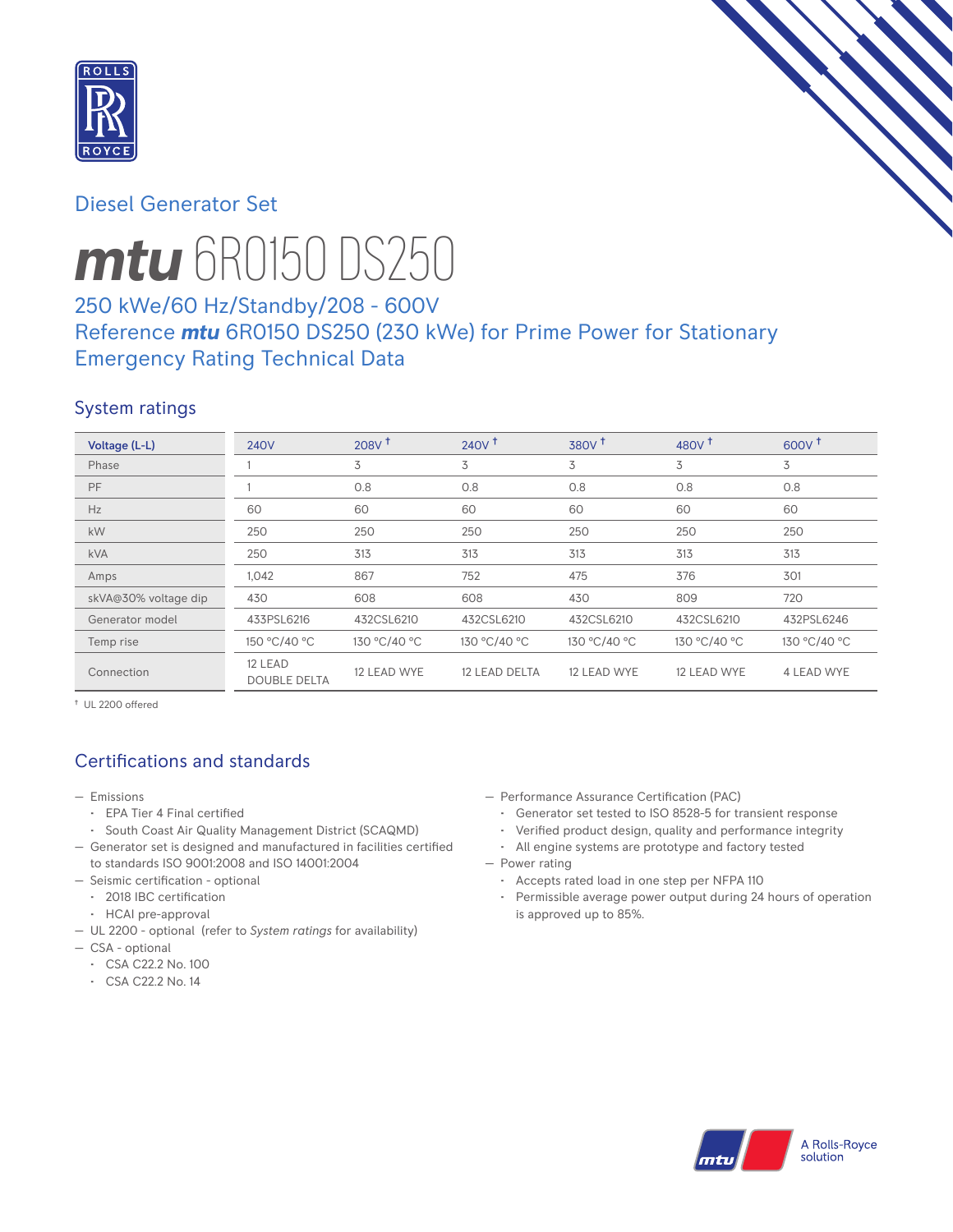

# Diesel Generator Set



# *mtu* 6R0150 DS250

# 250 kWe/60 Hz/Standby/208 - 600V Reference *mtu* 6R0150 DS250 (230 kWe) for Prime Power for Stationary Emergency Rating Technical Data

# System ratings

| Voltage (L-L)        | <b>240V</b>                    | 208V <sup>†</sup> | $240V$ <sup>+</sup> | $380V$ <sup>t</sup> | 480 $V†$     | $600V^{\dagger}$ |
|----------------------|--------------------------------|-------------------|---------------------|---------------------|--------------|------------------|
| Phase                |                                | 3                 | 3                   | 3                   | 3            | 3                |
| PF                   |                                | 0.8               | 0.8                 | 0.8                 | 0.8          | 0.8              |
| Hz                   | 60                             | 60                | 60                  | 60                  | 60           | 60               |
| kW                   | 250                            | 250               | 250                 | 250                 | 250          | 250              |
| <b>kVA</b>           | 250                            | 313               | 313                 | 313                 | 313          | 313              |
| Amps                 | 1,042                          | 867               | 752                 | 475                 | 376          | 301              |
| skVA@30% voltage dip | 430                            | 608               | 608                 | 430                 | 809          | 720              |
| Generator model      | 433PSL6216                     | 432CSL6210        | 432CSL6210          | 432CSL6210          | 432CSL6210   | 432PSL6246       |
| Temp rise            | 150 °C/40 °C                   | 130 °C/40 °C      | 130 °C/40 °C        | 130 °C/40 °C        | 130 °C/40 °C | 130 °C/40 °C     |
| Connection           | 12 LEAD<br><b>DOUBLE DELTA</b> | 12 LEAD WYE       | 12 LEAD DELTA       | 12 LEAD WYE         | 12 LEAD WYE  | 4 LEAD WYE       |

† UL 2200 offered

# Certifications and standards

- Emissions
	- EPA Tier 4 Final certified
	- South Coast Air Quality Management District (SCAQMD)
- Generator set is designed and manufactured in facilities certified to standards ISO 9001:2008 and ISO 14001:2004
- Seismic certification optional
	- 2018 IBC certification
	- HCAI pre-approval
- UL 2200 optional (refer to *System ratings* for availability)
- CSA optional
	- CSA C22.2 No. 100
	- CSA C22.2 No. 14
- Performance Assurance Certification (PAC)
	- Generator set tested to ISO 8528-5 for transient response
	- Verified product design, quality and performance integrity
- All engine systems are prototype and factory tested — Power rating
	- Accepts rated load in one step per NFPA 110
	- Permissible average power output during 24 hours of operation is approved up to 85%.

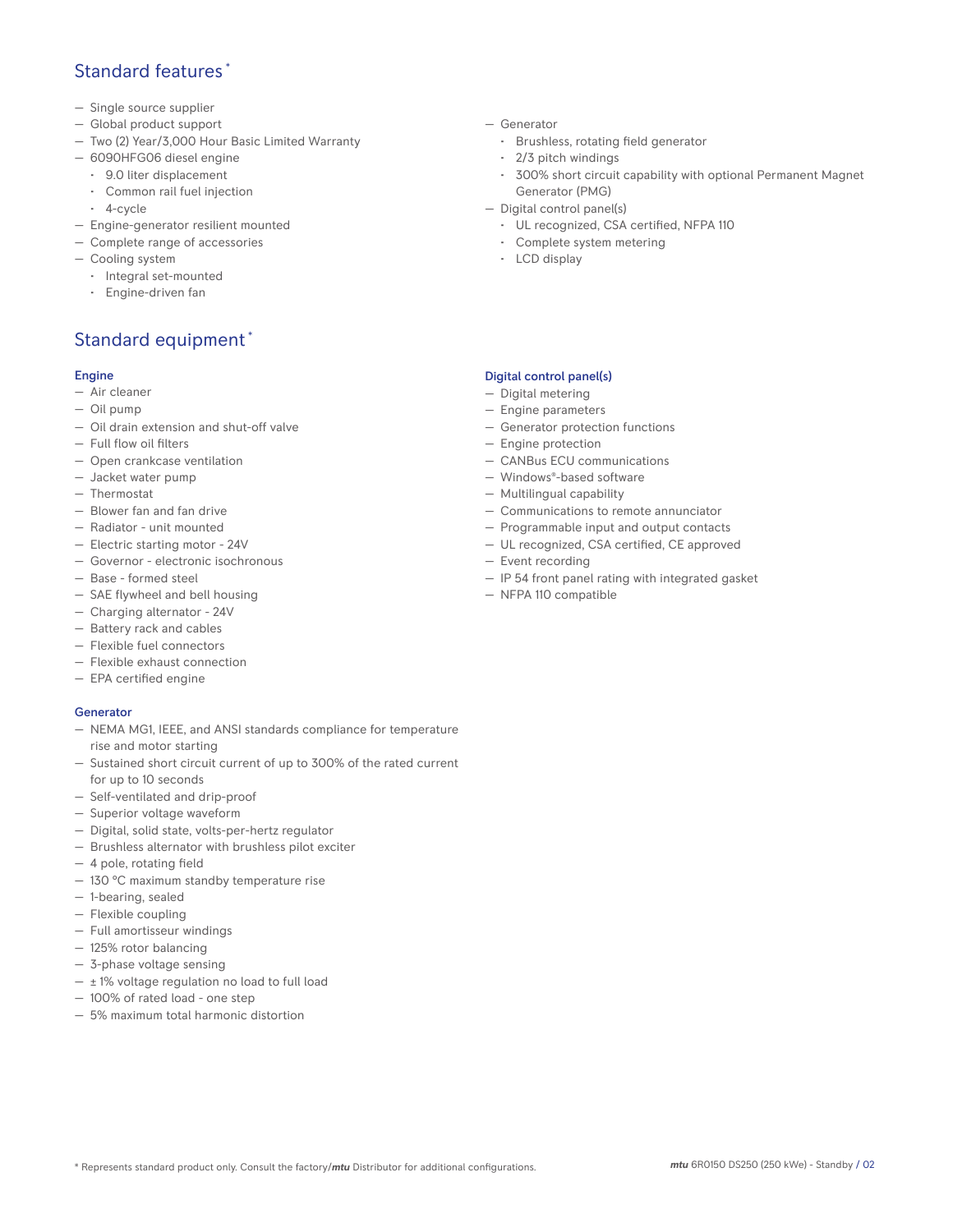# Standard features \*

- Single source supplier
- Global product support
- Two (2) Year/3,000 Hour Basic Limited Warranty
- 6090HFG06 diesel engine
	- 9.0 liter displacement
	- Common rail fuel injection
	- 4-cycle
- Engine-generator resilient mounted
- Complete range of accessories
- Cooling system
- Integral set-mounted
	- Engine-driven fan

# Standard equipment \*

## Engine

- Air cleaner
- Oil pump
- Oil drain extension and shut-off valve
- Full flow oil filters
- Open crankcase ventilation
- Jacket water pump
- Thermostat
- Blower fan and fan drive
- Radiator unit mounted
- Electric starting motor 24V
- Governor electronic isochronous
- Base formed steel
- SAE flywheel and bell housing
- Charging alternator 24V
- Battery rack and cables
- Flexible fuel connectors
- Flexible exhaust connection
- EPA certified engine

### **Generator**

- NEMA MG1, IEEE, and ANSI standards compliance for temperature rise and motor starting
- Sustained short circuit current of up to 300% of the rated current for up to 10 seconds
- Self-ventilated and drip-proof
- Superior voltage waveform
- Digital, solid state, volts-per-hertz regulator
- Brushless alternator with brushless pilot exciter
- 4 pole, rotating field
- 130 °C maximum standby temperature rise
- 1-bearing, sealed
- Flexible coupling
- Full amortisseur windings
- 125% rotor balancing
- 3-phase voltage sensing
- $\pm$  1% voltage regulation no load to full load
- 100% of rated load one step
- 5% maximum total harmonic distortion
- Generator
	- Brushless, rotating field generator
	- 2/3 pitch windings
	- 300% short circuit capability with optional Permanent Magnet Generator (PMG)
- Digital control panel(s)
	- UL recognized, CSA certified, NFPA 110
	- Complete system metering
	- LCD display

## Digital control panel(s)

- Digital metering
- Engine parameters
- Generator protection functions
- Engine protection
- CANBus ECU communications
- Windows®-based software
- Multilingual capability
- Communications to remote annunciator
- Programmable input and output contacts
- UL recognized, CSA certified, CE approved
- Event recording
- IP 54 front panel rating with integrated gasket
- NFPA 110 compatible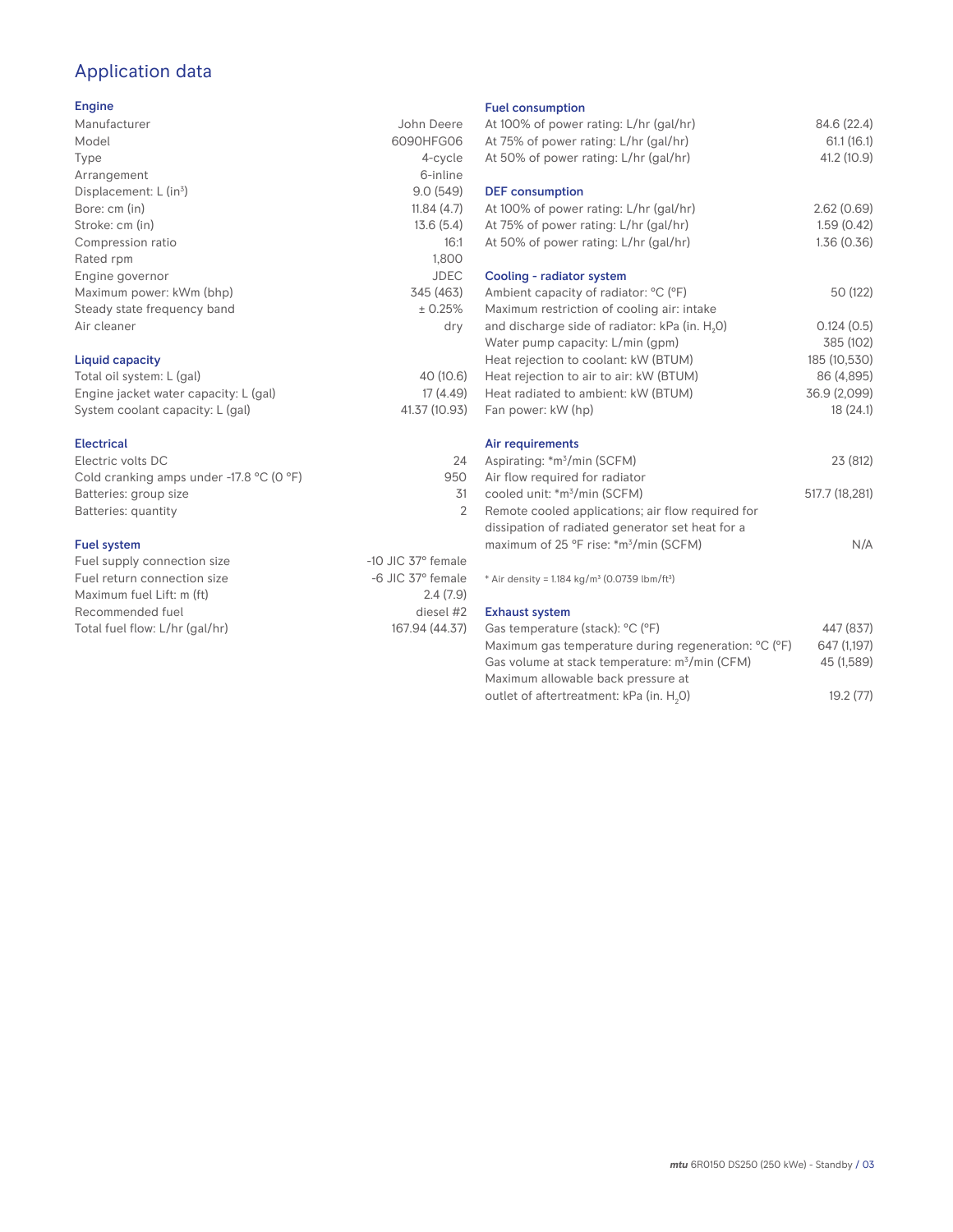# Application data

## Engine

| Manufacturer                | John Deere  |
|-----------------------------|-------------|
| Model                       | 6090HFG06   |
| Type                        | 4-cycle     |
| Arrangement                 | 6-inline    |
| Displacement: $L (in3)$     | 9.0(549)    |
| Bore: cm (in)               | 11.84(4.7)  |
| Stroke: cm (in)             | 13.6(5.4)   |
| Compression ratio           | 16:1        |
| Rated rpm                   | 1,800       |
| Engine governor             | <b>JDEC</b> |
| Maximum power: kWm (bhp)    | 345 (463)   |
| Steady state frequency band | ± 0.25%     |
| Air cleaner                 | dry         |
|                             |             |
|                             |             |

## Liquid capacity

| Total oil system: L (gal)             | 40 (10.6)     |
|---------------------------------------|---------------|
| Engine jacket water capacity: L (gal) | 17 (4.49)     |
| System coolant capacity: L (gal)      | 41.37 (10.93) |

### Electrical

| Electric volts DC                                            | 24  |
|--------------------------------------------------------------|-----|
| Cold cranking amps under -17.8 $^{\circ}$ C (O $^{\circ}$ F) | 950 |
| Batteries: group size                                        | .31 |
| Batteries: quantity                                          |     |
|                                                              |     |

## Fuel system

| Fuel supply connection size    | $-10$ JIC 37 $\degree$ female |
|--------------------------------|-------------------------------|
| Fuel return connection size    | $-6$ JIC 37 $^{\circ}$ female |
| Maximum fuel Lift: m (ft)      | 2.4(7.9)                      |
| Recommended fuel               | diesel #2                     |
| Total fuel flow: L/hr (gal/hr) | 167.94 (44.37)                |
|                                |                               |

### Fuel consumption

| At 100% of power rating: L/hr (gal/hr)<br>At 75% of power rating: L/hr (gal/hr)<br>At 50% of power rating: L/hr (gal/hr) | 84.6 (22.4)<br>61.1(16.1)<br>41.2 (10.9) |
|--------------------------------------------------------------------------------------------------------------------------|------------------------------------------|
| <b>DEF</b> consumption<br>At 100% of power rating: L/hr (gal/hr)<br>At 75% of power rating: L/hr (gal/hr)                | 2.62(0.69)<br>1.59(0.42)                 |
| At 50% of power rating: L/hr (gal/hr)                                                                                    | 1.36(0.36)                               |
| Cooling - radiator system<br>Ambient capacity of radiator: °C (°F)<br>Maximum restriction of cooling air: intake         | 50 (122)                                 |
| and discharge side of radiator: kPa (in. H <sub>2</sub> O)                                                               | 0.124(0.5)                               |
| Water pump capacity: L/min (gpm)                                                                                         | 385 (102)                                |
| Heat rejection to coolant: kW (BTUM)                                                                                     | 185 (10,530)                             |
| Heat rejection to air to air: kW (BTUM)                                                                                  | 86 (4,895)                               |
| Heat radiated to ambient: kW (BTUM)                                                                                      | 36.9 (2,099)                             |
| Fan power: kW (hp)                                                                                                       | 18(24.1)                                 |
| Air requirements                                                                                                         |                                          |
| Aspirating: *m <sup>3</sup> /min (SCFM)<br>Air flow required for radiator                                                | 23 (812)                                 |
| cooled unit: *m <sup>3</sup> /min (SCFM)                                                                                 | 517.7 (18,281)                           |
| Remote cooled applications; air flow required for                                                                        |                                          |
| dissipation of radiated generator set heat for a                                                                         |                                          |
| maximum of 25 °F rise: *m <sup>3</sup> /min (SCFM)                                                                       | N/A                                      |
| * Air density = 1.184 kg/m <sup>3</sup> (0.0739 lbm/ft <sup>3</sup> )                                                    |                                          |
| <b>Exhaust system</b>                                                                                                    |                                          |
| Gas temperature (stack): °C (°F)                                                                                         | 447 (837)                                |
| Maximum gas temperature during regeneration: °C (°F)                                                                     | 647 (1,197)                              |
| Gas volume at stack temperature: m <sup>3</sup> /min (CFM)                                                               | 45 (1.589)                               |

| 647 (1.197) |
|-------------|
| 45 (1.589)  |
|             |
| 19.2(77)    |
|             |